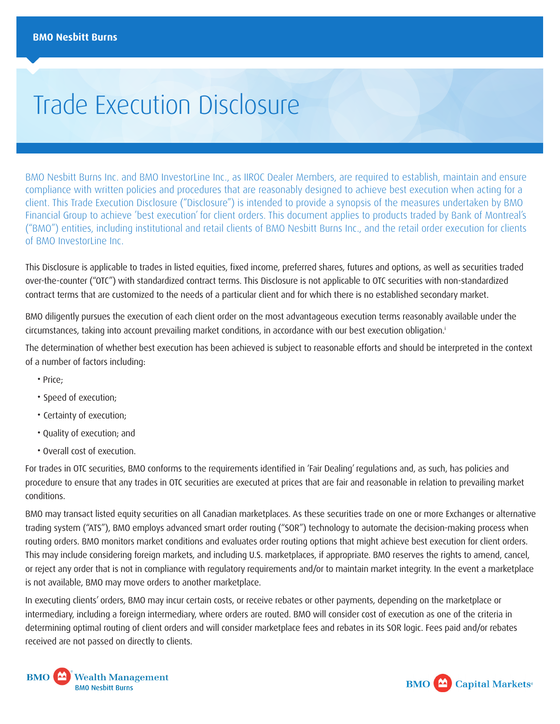# <span id="page-0-0"></span>Trade Execution Disclosure

BMO Nesbitt Burns Inc. and BMO InvestorLine Inc., as IIROC Dealer Members, are required to establish, maintain and ensure compliance with written policies and procedures that are reasonably designed to achieve best execution when acting for a client. This Trade Execution Disclosure ("Disclosure") is intended to provide a synopsis of the measures undertaken by BMO Financial Group to achieve 'best execution' for client orders. This document applies to products traded by Bank of Montreal's ("BMO") entities, including institutional and retail clients of BMO Nesbitt Burns Inc., and the retail order execution for clients of BMO InvestorLine Inc.

This Disclosure is applicable to trades in listed equities, fixed income, preferred shares, futures and options, as well as securities traded over-the-counter ("OTC") with standardized contract terms. This Disclosure is not applicable to OTC securities with non-standardized contract terms that are customized to the needs of a particular client and for which there is no established secondary market.

BMO diligently pursues the execution of each client order on the most advantageous execution terms reasonably available under the circumstances, taking into account prevailing market conditions, in accordance with our best execution obligation.[i](#page-2-0)

The determination of whether best execution has been achieved is subject to reasonable efforts and should be interpreted in the context of a number of factors including:

- Price;
- Speed of execution;
- Certainty of execution;
- Quality of execution; and
- Overall cost of execution.

For trades in OTC securities, BMO conforms to the requirements identified in 'Fair Dealing' regulations and, as such, has policies and procedure to ensure that any trades in OTC securities are executed at prices that are fair and reasonable in relation to prevailing market conditions.

BMO may transact listed equity securities on all Canadian marketplaces. As these securities trade on one or more Exchanges or alternative trading system ("ATS"), BMO employs advanced smart order routing ("SOR") technology to automate the decision-making process when routing orders. BMO monitors market conditions and evaluates order routing options that might achieve best execution for client orders. This may include considering foreign markets, and including U.S. marketplaces, if appropriate. BMO reserves the rights to amend, cancel, or reject any order that is not in compliance with regulatory requirements and/or to maintain market integrity. In the event a marketplace is not available, BMO may move orders to another marketplace.

In executing clients' orders, BMO may incur certain costs, or receive rebates or other payments, depending on the marketplace or intermediary, including a foreign intermediary, where orders are routed. BMO will consider cost of execution as one of the criteria in determining optimal routing of client orders and will consider marketplace fees and rebates in its SOR logic. Fees paid and/or rebates received are not passed on directly to clients.



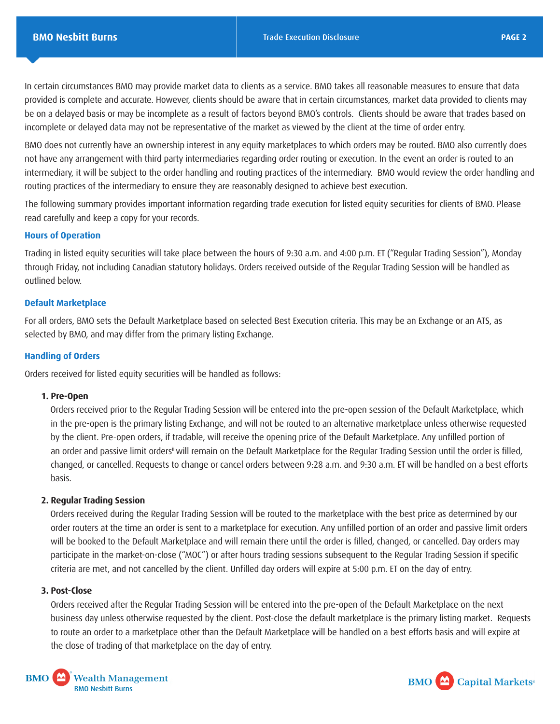<span id="page-1-0"></span>In certain circumstances BMO may provide market data to clients as a service. BMO takes all reasonable measures to ensure that data provided is complete and accurate. However, clients should be aware that in certain circumstances, market data provided to clients may be on a delayed basis or may be incomplete as a result of factors beyond BMO's controls. Clients should be aware that trades based on incomplete or delayed data may not be representative of the market as viewed by the client at the time of order entry.

BMO does not currently have an ownership interest in any equity marketplaces to which orders may be routed. BMO also currently does not have any arrangement with third party intermediaries regarding order routing or execution. In the event an order is routed to an intermediary, it will be subject to the order handling and routing practices of the intermediary. BMO would review the order handling and routing practices of the intermediary to ensure they are reasonably designed to achieve best execution.

The following summary provides important information regarding trade execution for listed equity securities for clients of BMO. Please read carefully and keep a copy for your records.

# **Hours of Operation**

Trading in listed equity securities will take place between the hours of 9:30 a.m. and 4:00 p.m. ET ("Regular Trading Session"), Monday through Friday, not including Canadian statutory holidays. Orders received outside of the Regular Trading Session will be handled as outlined below.

# **Default Marketplace**

For all orders, BMO sets the Default Marketplace based on selected Best Execution criteria. This may be an Exchange or an ATS, as selected by BMO, and may differ from the primary listing Exchange.

# **Handling of Orders**

Orders received for listed equity securities will be handled as follows:

#### **1. Pre-Open**

Orders received prior to the Regular Trading Session will be entered into the pre-open session of the Default Marketplace, which in the pre-open is the primary listing Exchange, and will not be routed to an alternative marketplace unless otherwise requested by the client. Pre-open orders, if tradable, will receive the opening price of the Default Marketplace. Any unfilled portion of an order and passive limit orders<sup>[ii](#page-2-0)</sup> will remain on the Default Marketplace for the Regular Trading Session until the order is filled, changed, or cancelled. Requests to change or cancel orders between 9:28 a.m. and 9:30 a.m. ET will be handled on a best efforts basis.

# **2. Regular Trading Session**

Orders received during the Regular Trading Session will be routed to the marketplace with the best price as determined by our order routers at the time an order is sent to a marketplace for execution. Any unfilled portion of an order and passive limit orders will be booked to the Default Marketplace and will remain there until the order is filled, changed, or cancelled. Day orders may participate in the market-on-close ("MOC") or after hours trading sessions subsequent to the Regular Trading Session if specific criteria are met, and not cancelled by the client. Unfilled day orders will expire at 5:00 p.m. ET on the day of entry.

# **3. Post-Close**

Orders received after the Regular Trading Session will be entered into the pre-open of the Default Marketplace on the next business day unless otherwise requested by the client. Post-close the default marketplace is the primary listing market. Requests to route an order to a marketplace other than the Default Marketplace will be handled on a best efforts basis and will expire at the close of trading of that marketplace on the day of entry.